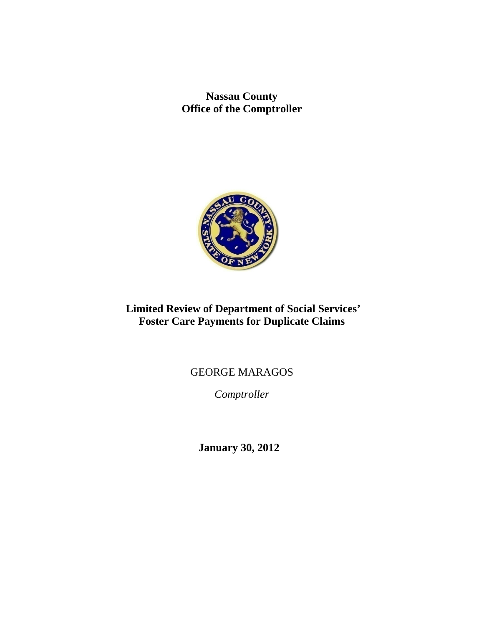**Nassau County Office of the Comptroller** 



# **Limited Review of Department of Social Services' Foster Care Payments for Duplicate Claims**

# GEORGE MARAGOS

*Comptroller* 

 **January 30, 2012**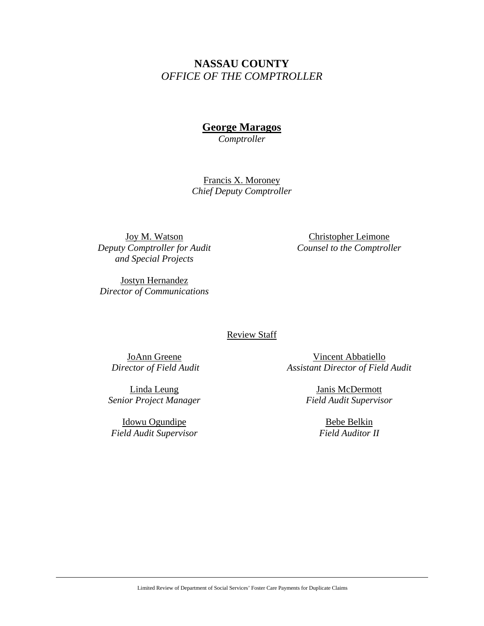## **NASSAU COUNTY**  *OFFICE OF THE COMPTROLLER*

# **George Maragos**

*Comptroller* 

Francis X. Moroney *Chief Deputy Comptroller* 

Joy M. Watson *Deputy Comptroller for Audit and Special Projects* 

Christopher Leimone *Counsel to the Comptroller* 

Jostyn Hernandez *Director of Communications* 

#### Review Staff

JoAnn Greene  *Director of Field Audit* 

Linda Leung *Senior Project Manager* 

Idowu Ogundipe *Field Audit Supervisor* 

Vincent Abbatiello *Assistant Director of Field Audit* 

> Janis McDermott *Field Audit Supervisor*

> > Bebe Belkin *Field Auditor II*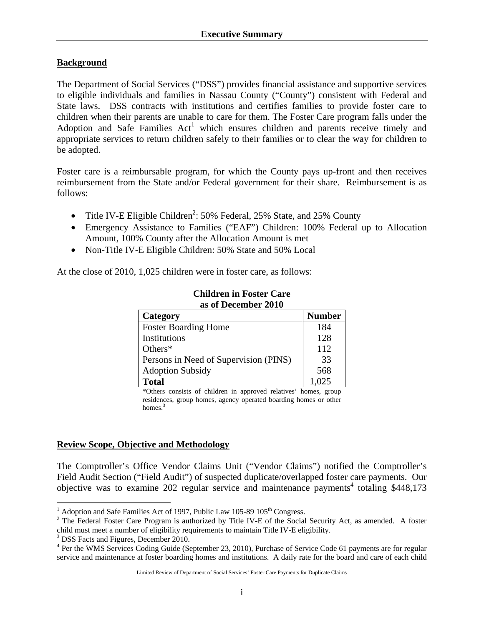#### **Background**

The Department of Social Services ("DSS") provides financial assistance and supportive services to eligible individuals and families in Nassau County ("County") consistent with Federal and State laws. DSS contracts with institutions and certifies families to provide foster care to children when their parents are unable to care for them. The Foster Care program falls under the Adoption and Safe Families Act<sup>1</sup> which ensures children and parents receive timely and appropriate services to return children safely to their families or to clear the way for children to be adopted.

Foster care is a reimbursable program, for which the County pays up-front and then receives reimbursement from the State and/or Federal government for their share. Reimbursement is as follows:

- Title IV-E Eligible Children<sup>2</sup>: 50% Federal, 25% State, and 25% County
- Emergency Assistance to Families ("EAF") Children: 100% Federal up to Allocation Amount, 100% County after the Allocation Amount is met
- Non-Title IV-E Eligible Children: 50% State and 50% Local

At the close of 2010, 1,025 children were in foster care, as follows:

| Category                              | <b>Number</b> |
|---------------------------------------|---------------|
| <b>Foster Boarding Home</b>           | 184           |
| Institutions                          | 128           |
| Others $*$                            | 112           |
| Persons in Need of Supervision (PINS) | 33            |
| <b>Adoption Subsidy</b>               | 568           |
| <b>Total</b>                          | 1.025         |

#### **Children in Foster Care as of December 2010**

\*Others consists of children in approved relatives' homes, group residences, group homes, agency operated boarding homes or other homes.<sup>3</sup>

#### **Review Scope, Objective and Methodology**

The Comptroller's Office Vendor Claims Unit ("Vendor Claims") notified the Comptroller's Field Audit Section ("Field Audit") of suspected duplicate/overlapped foster care payments. Our objective was to examine 202 regular service and maintenance payments<sup>4</sup> totaling \$448,173

<sup>3</sup> DSS Facts and Figures, December 2010.

<sup>&</sup>lt;sup>1</sup> Adoption and Safe Families Act of 1997, Public Law 105-89 105<sup>th</sup> Congress.

<sup>&</sup>lt;sup>2</sup> The Federal Foster Care Program is authorized by Title IV-E of the Social Security Act, as amended. A foster child must meet a number of eligibility requirements to maintain Title IV-E eligibility.

<sup>&</sup>lt;sup>4</sup> Per the WMS Services Coding Guide (September 23, 2010), Purchase of Service Code 61 payments are for regular service and maintenance at foster boarding homes and institutions. A daily rate for the board and care of each child

Limited Review of Department of Social Services' Foster Care Payments for Duplicate Claims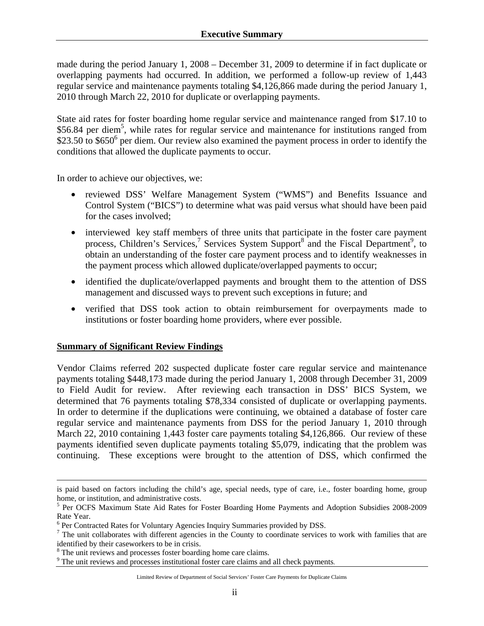made during the period January 1, 2008 – December 31, 2009 to determine if in fact duplicate or overlapping payments had occurred. In addition, we performed a follow-up review of 1,443 regular service and maintenance payments totaling \$4,126,866 made during the period January 1, 2010 through March 22, 2010 for duplicate or overlapping payments.

State aid rates for foster boarding home regular service and maintenance ranged from \$17.10 to \$56.84 per diem<sup>5</sup>, while rates for regular service and maintenance for institutions ranged from \$23.50 to \$650 $^6$  per diem. Our review also examined the payment process in order to identify the conditions that allowed the duplicate payments to occur.

In order to achieve our objectives, we:

- reviewed DSS' Welfare Management System ("WMS") and Benefits Issuance and Control System ("BICS") to determine what was paid versus what should have been paid for the cases involved;
- interviewed key staff members of three units that participate in the foster care payment process, Children's Services,<sup>7</sup> Services System Support<sup>8</sup> and the Fiscal Department<sup>9</sup>, to obtain an understanding of the foster care payment process and to identify weaknesses in the payment process which allowed duplicate/overlapped payments to occur;
- identified the duplicate/overlapped payments and brought them to the attention of DSS management and discussed ways to prevent such exceptions in future; and
- verified that DSS took action to obtain reimbursement for overpayments made to institutions or foster boarding home providers, where ever possible.

#### **Summary of Significant Review Findings**

Vendor Claims referred 202 suspected duplicate foster care regular service and maintenance payments totaling \$448,173 made during the period January 1, 2008 through December 31, 2009 to Field Audit for review. After reviewing each transaction in DSS' BICS System, we determined that 76 payments totaling \$78,334 consisted of duplicate or overlapping payments. In order to determine if the duplications were continuing, we obtained a database of foster care regular service and maintenance payments from DSS for the period January 1, 2010 through March 22, 2010 containing 1,443 foster care payments totaling \$4,126,866. Our review of these payments identified seven duplicate payments totaling \$5,079, indicating that the problem was continuing. These exceptions were brought to the attention of DSS, which confirmed the

is paid based on factors including the child's age, special needs, type of care, i.e., foster boarding home, group home, or institution, and administrative costs.

<sup>&</sup>lt;sup>5</sup> Per OCFS Maximum State Aid Rates for Foster Boarding Home Payments and Adoption Subsidies 2008-2009 Rate Year.

 $^6$  Per Contracted Rates for Voluntary Agencies Inquiry Summaries provided by DSS.

 $<sup>7</sup>$  The unit collaborates with different agencies in the County to coordinate services to work with families that are</sup> identified by their caseworkers to be in crisis.

 $^8$  The unit reviews and processes foster boarding home care claims.<br><sup>9</sup> The unit reviews and processes institutional foster care claims and

<sup>&</sup>lt;sup>9</sup> The unit reviews and processes institutional foster care claims and all check payments.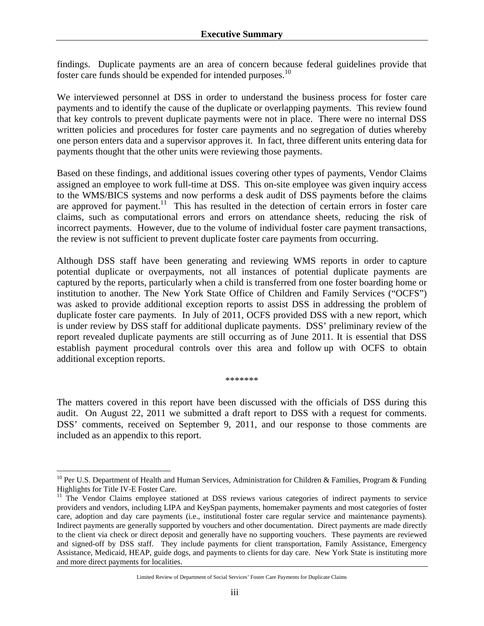findings. Duplicate payments are an area of concern because federal guidelines provide that foster care funds should be expended for intended purposes.<sup>10</sup>

We interviewed personnel at DSS in order to understand the business process for foster care payments and to identify the cause of the duplicate or overlapping payments. This review found that key controls to prevent duplicate payments were not in place. There were no internal DSS written policies and procedures for foster care payments and no segregation of duties whereby one person enters data and a supervisor approves it. In fact, three different units entering data for payments thought that the other units were reviewing those payments.

Based on these findings, and additional issues covering other types of payments, Vendor Claims assigned an employee to work full-time at DSS. This on-site employee was given inquiry access to the WMS/BICS systems and now performs a desk audit of DSS payments before the claims are approved for payment.<sup>11</sup> This has resulted in the detection of certain errors in foster care claims, such as computational errors and errors on attendance sheets, reducing the risk of incorrect payments. However, due to the volume of individual foster care payment transactions, the review is not sufficient to prevent duplicate foster care payments from occurring.

Although DSS staff have been generating and reviewing WMS reports in order to capture potential duplicate or overpayments, not all instances of potential duplicate payments are captured by the reports, particularly when a child is transferred from one foster boarding home or institution to another. The New York State Office of Children and Family Services ("OCFS") was asked to provide additional exception reports to assist DSS in addressing the problem of duplicate foster care payments. In July of 2011, OCFS provided DSS with a new report, which is under review by DSS staff for additional duplicate payments. DSS' preliminary review of the report revealed duplicate payments are still occurring as of June 2011. It is essential that DSS establish payment procedural controls over this area and follow up with OCFS to obtain additional exception reports.

\*\*\*\*\*\*\*

The matters covered in this report have been discussed with the officials of DSS during this audit. On August 22, 2011 we submitted a draft report to DSS with a request for comments. DSS' comments, received on September 9, 2011, and our response to those comments are included as an appendix to this report.

 $\overline{a}$ 

<sup>&</sup>lt;sup>10</sup> Per U.S. Department of Health and Human Services, Administration for Children & Families, Program & Funding Highlights for Title IV-E Foster Care.

<sup>&</sup>lt;sup>11</sup> The Vendor Claims employee stationed at DSS reviews various categories of indirect payments to service providers and vendors, including LIPA and KeySpan payments, homemaker payments and most categories of foster care, adoption and day care payments (i.e., institutional foster care regular service and maintenance payments). Indirect payments are generally supported by vouchers and other documentation. Direct payments are made directly to the client via check or direct deposit and generally have no supporting vouchers. These payments are reviewed and signed-off by DSS staff. They include payments for client transportation, Family Assistance, Emergency Assistance, Medicaid, HEAP, guide dogs, and payments to clients for day care. New York State is instituting more and more direct payments for localities.

Limited Review of Department of Social Services' Foster Care Payments for Duplicate Claims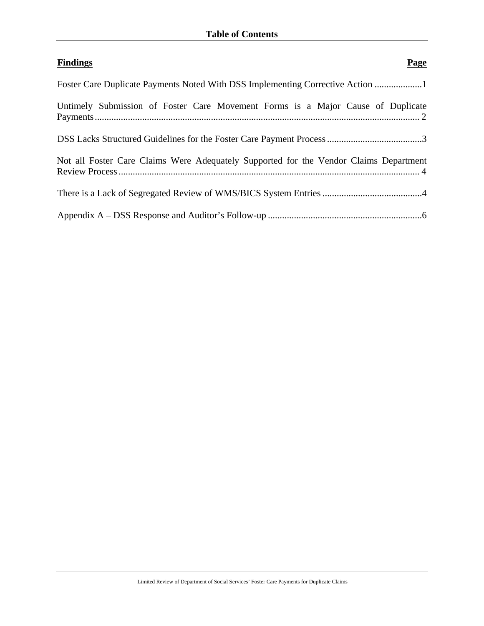| <b>Findings</b><br><b>Page</b>                                                        |
|---------------------------------------------------------------------------------------|
| Foster Care Duplicate Payments Noted With DSS Implementing Corrective Action          |
| Untimely Submission of Foster Care Movement Forms is a Major Cause of Duplicate       |
|                                                                                       |
| Not all Foster Care Claims Were Adequately Supported for the Vendor Claims Department |
|                                                                                       |
|                                                                                       |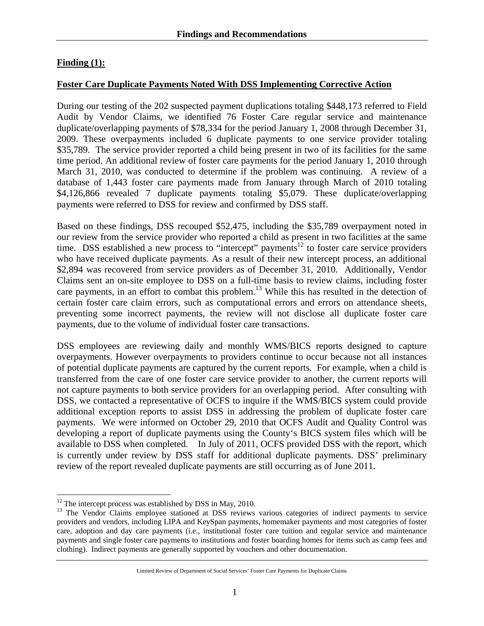## **Finding (1):**

#### **Foster Care Duplicate Payments Noted With DSS Implementing Corrective Action**

During our testing of the 202 suspected payment duplications totaling \$448,173 referred to Field Audit by Vendor Claims, we identified 76 Foster Care regular service and maintenance duplicate/overlapping payments of \$78,334 for the period January 1, 2008 through December 31, 2009. These overpayments included 6 duplicate payments to one service provider totaling \$35,789. The service provider reported a child being present in two of its facilities for the same time period. An additional review of foster care payments for the period January 1, 2010 through March 31, 2010, was conducted to determine if the problem was continuing. A review of a database of 1,443 foster care payments made from January through March of 2010 totaling \$4,126,866 revealed 7 duplicate payments totaling \$5,079. These duplicate/overlapping payments were referred to DSS for review and confirmed by DSS staff.

Based on these findings, DSS recouped \$52,475, including the \$35,789 overpayment noted in our review from the service provider who reported a child as present in two facilities at the same time. DSS established a new process to "intercept" payments<sup>12</sup> to foster care service providers who have received duplicate payments. As a result of their new intercept process, an additional \$2,894 was recovered from service providers as of December 31, 2010. Additionally, Vendor Claims sent an on-site employee to DSS on a full-time basis to review claims, including foster care payments, in an effort to combat this problem.<sup>13</sup> While this has resulted in the detection of certain foster care claim errors, such as computational errors and errors on attendance sheets, preventing some incorrect payments, the review will not disclose all duplicate foster care payments, due to the volume of individual foster care transactions.

DSS employees are reviewing daily and monthly WMS/BICS reports designed to capture overpayments. However overpayments to providers continue to occur because not all instances of potential duplicate payments are captured by the current reports. For example, when a child is transferred from the care of one foster care service provider to another, the current reports will not capture payments to both service providers for an overlapping period. After consulting with DSS, we contacted a representative of OCFS to inquire if the WMS/BICS system could provide additional exception reports to assist DSS in addressing the problem of duplicate foster care payments. We were informed on October 29, 2010 that OCFS Audit and Quality Control was developing a report of duplicate payments using the County's BICS system files which will be available to DSS when completed. In July of 2011, OCFS provided DSS with the report, which is currently under review by DSS staff for additional duplicate payments. DSS' preliminary review of the report revealed duplicate payments are still occurring as of June 2011.

<sup>1</sup>  $12$  The intercept process was established by DSS in May, 2010.

<sup>&</sup>lt;sup>13</sup> The Vendor Claims employee stationed at DSS reviews various categories of indirect payments to service providers and vendors, including LIPA and KeySpan payments, homemaker payments and most categories of foster care, adoption and day care payments (i.e., institutional foster care tuition and regular service and maintenance payments and single foster care payments to institutions and foster boarding homes for items such as camp fees and clothing). Indirect payments are generally supported by vouchers and other documentation.

Limited Review of Department of Social Services' Foster Care Payments for Duplicate Claims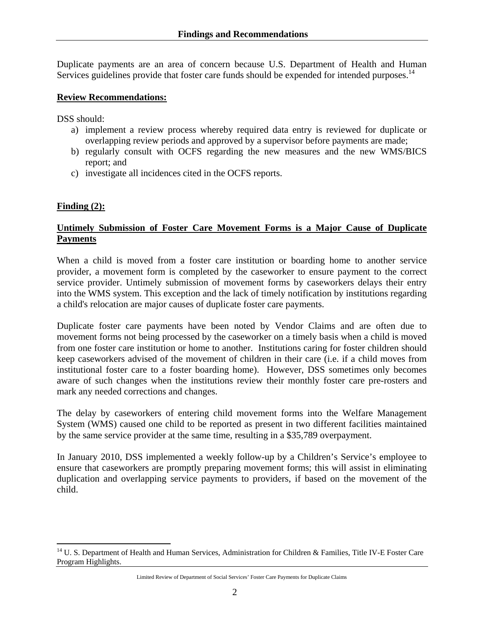Duplicate payments are an area of concern because U.S. Department of Health and Human Services guidelines provide that foster care funds should be expended for intended purposes.<sup>14</sup>

#### **Review Recommendations:**

DSS should:

- a) implement a review process whereby required data entry is reviewed for duplicate or overlapping review periods and approved by a supervisor before payments are made;
- b) regularly consult with OCFS regarding the new measures and the new WMS/BICS report; and
- c) investigate all incidences cited in the OCFS reports.

#### **Finding (2):**

1

## **Untimely Submission of Foster Care Movement Forms is a Major Cause of Duplicate Payments**

When a child is moved from a foster care institution or boarding home to another service provider, a movement form is completed by the caseworker to ensure payment to the correct service provider. Untimely submission of movement forms by caseworkers delays their entry into the WMS system. This exception and the lack of timely notification by institutions regarding a child's relocation are major causes of duplicate foster care payments.

Duplicate foster care payments have been noted by Vendor Claims and are often due to movement forms not being processed by the caseworker on a timely basis when a child is moved from one foster care institution or home to another. Institutions caring for foster children should keep caseworkers advised of the movement of children in their care (i.e. if a child moves from institutional foster care to a foster boarding home). However, DSS sometimes only becomes aware of such changes when the institutions review their monthly foster care pre-rosters and mark any needed corrections and changes.

The delay by caseworkers of entering child movement forms into the Welfare Management System (WMS) caused one child to be reported as present in two different facilities maintained by the same service provider at the same time, resulting in a \$35,789 overpayment.

In January 2010, DSS implemented a weekly follow-up by a Children's Service's employee to ensure that caseworkers are promptly preparing movement forms; this will assist in eliminating duplication and overlapping service payments to providers, if based on the movement of the child.

<sup>&</sup>lt;sup>14</sup> U. S. Department of Health and Human Services, Administration for Children & Families, Title IV-E Foster Care Program Highlights.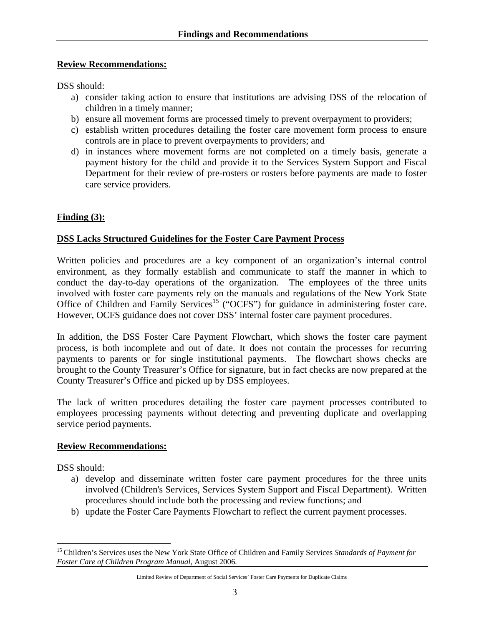#### **Review Recommendations:**

DSS should:

- a) consider taking action to ensure that institutions are advising DSS of the relocation of children in a timely manner;
- b) ensure all movement forms are processed timely to prevent overpayment to providers;
- c) establish written procedures detailing the foster care movement form process to ensure controls are in place to prevent overpayments to providers; and
- d) in instances where movement forms are not completed on a timely basis, generate a payment history for the child and provide it to the Services System Support and Fiscal Department for their review of pre-rosters or rosters before payments are made to foster care service providers.

## **Finding (3):**

#### **DSS Lacks Structured Guidelines for the Foster Care Payment Process**

Written policies and procedures are a key component of an organization's internal control environment, as they formally establish and communicate to staff the manner in which to conduct the day-to-day operations of the organization. The employees of the three units involved with foster care payments rely on the manuals and regulations of the New York State Office of Children and Family Services<sup>15</sup> ("OCFS") for guidance in administering foster care. However, OCFS guidance does not cover DSS' internal foster care payment procedures.

In addition, the DSS Foster Care Payment Flowchart, which shows the foster care payment process, is both incomplete and out of date. It does not contain the processes for recurring payments to parents or for single institutional payments. The flowchart shows checks are brought to the County Treasurer's Office for signature, but in fact checks are now prepared at the County Treasurer's Office and picked up by DSS employees.

The lack of written procedures detailing the foster care payment processes contributed to employees processing payments without detecting and preventing duplicate and overlapping service period payments.

#### **Review Recommendations:**

DSS should:

 $\overline{a}$ 

- a) develop and disseminate written foster care payment procedures for the three units involved (Children's Services, Services System Support and Fiscal Department). Written procedures should include both the processing and review functions; and
- b) update the Foster Care Payments Flowchart to reflect the current payment processes.

<sup>15</sup> Children's Services uses the New York State Office of Children and Family Services *Standards of Payment for Foster Care of Children Program Manual*, August 2006*.*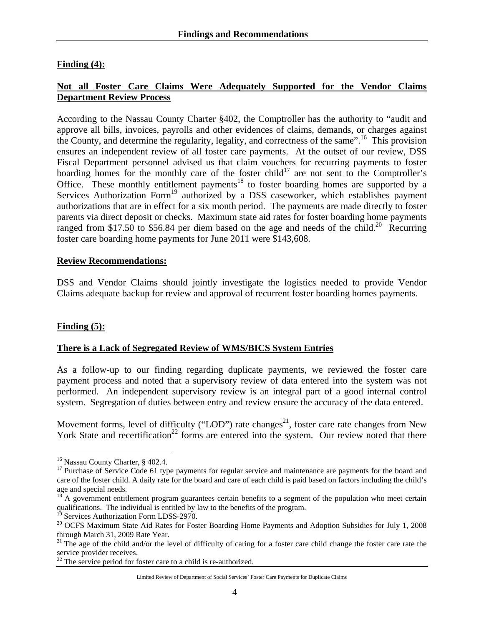## **Finding (4):**

## **Not all Foster Care Claims Were Adequately Supported for the Vendor Claims Department Review Process**

According to the Nassau County Charter §402, the Comptroller has the authority to "audit and approve all bills, invoices, payrolls and other evidences of claims, demands, or charges against the County, and determine the regularity, legality, and correctness of the same".16 This provision ensures an independent review of all foster care payments. At the outset of our review, DSS Fiscal Department personnel advised us that claim vouchers for recurring payments to foster boarding homes for the monthly care of the foster child<sup>17</sup> are not sent to the Comptroller's Office. These monthly entitlement payments<sup>18</sup> to foster boarding homes are supported by a Services Authorization Form<sup>19</sup> authorized by a DSS caseworker, which establishes payment authorizations that are in effect for a six month period. The payments are made directly to foster parents via direct deposit or checks. Maximum state aid rates for foster boarding home payments ranged from \$17.50 to \$56.84 per diem based on the age and needs of the child.<sup>20</sup> Recurring foster care boarding home payments for June 2011 were \$143,608.

#### **Review Recommendations:**

DSS and Vendor Claims should jointly investigate the logistics needed to provide Vendor Claims adequate backup for review and approval of recurrent foster boarding homes payments.

#### **Finding (5):**

 $\overline{a}$ 

#### **There is a Lack of Segregated Review of WMS/BICS System Entries**

As a follow-up to our finding regarding duplicate payments, we reviewed the foster care payment process and noted that a supervisory review of data entered into the system was not performed. An independent supervisory review is an integral part of a good internal control system. Segregation of duties between entry and review ensure the accuracy of the data entered.

Movement forms, level of difficulty ("LOD") rate changes<sup>21</sup>, foster care rate changes from New York State and recertification<sup>22</sup> forms are entered into the system. Our review noted that there

<sup>16</sup> Nassau County Charter, § 402.4.

<sup>&</sup>lt;sup>17</sup> Purchase of Service Code 61 type payments for regular service and maintenance are payments for the board and care of the foster child. A daily rate for the board and care of each child is paid based on factors including the child's age and special needs.

<sup>18</sup> A government entitlement program guarantees certain benefits to a segment of the population who meet certain qualifications. The individual is entitled by law to the benefits of the program.

<sup>&</sup>lt;sup>19</sup> Services Authorization Form LDSS-2970.

<sup>&</sup>lt;sup>20</sup> OCFS Maximum State Aid Rates for Foster Boarding Home Payments and Adoption Subsidies for July 1, 2008 through March 31, 2009 Rate Year.

 $21$  The age of the child and/or the level of difficulty of caring for a foster care child change the foster care rate the service provider receives.

 $^{22}$  The service period for foster care to a child is re-authorized.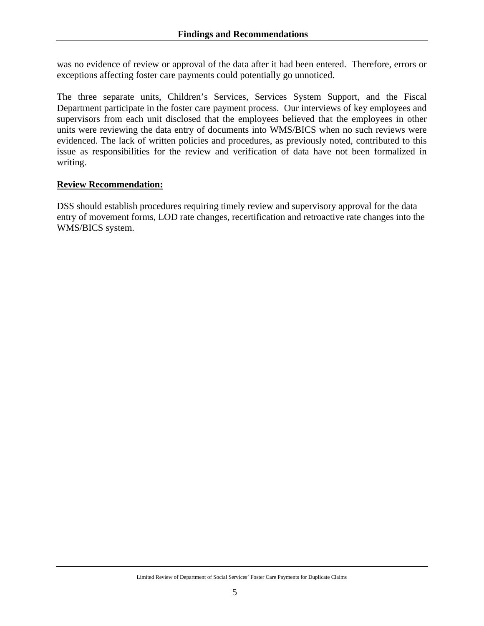was no evidence of review or approval of the data after it had been entered. Therefore, errors or exceptions affecting foster care payments could potentially go unnoticed.

The three separate units, Children's Services, Services System Support, and the Fiscal Department participate in the foster care payment process. Our interviews of key employees and supervisors from each unit disclosed that the employees believed that the employees in other units were reviewing the data entry of documents into WMS/BICS when no such reviews were evidenced. The lack of written policies and procedures, as previously noted, contributed to this issue as responsibilities for the review and verification of data have not been formalized in writing.

#### **Review Recommendation:**

DSS should establish procedures requiring timely review and supervisory approval for the data entry of movement forms, LOD rate changes, recertification and retroactive rate changes into the WMS/BICS system.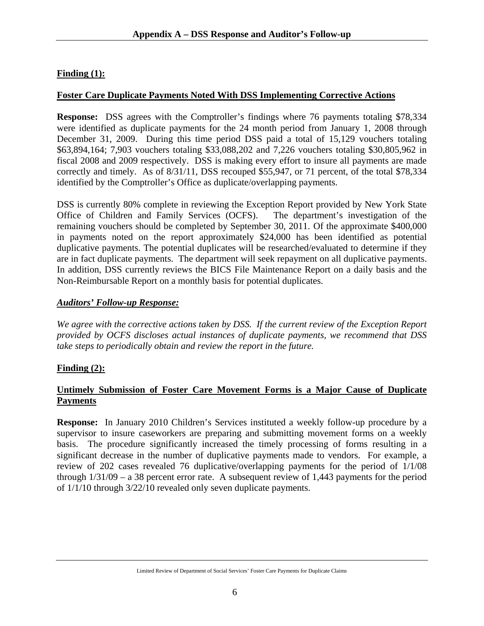## **Finding (1):**

#### **Foster Care Duplicate Payments Noted With DSS Implementing Corrective Actions**

**Response:** DSS agrees with the Comptroller's findings where 76 payments totaling \$78,334 were identified as duplicate payments for the 24 month period from January 1, 2008 through December 31, 2009. During this time period DSS paid a total of 15,129 vouchers totaling \$63,894,164; 7,903 vouchers totaling \$33,088,202 and 7,226 vouchers totaling \$30,805,962 in fiscal 2008 and 2009 respectively. DSS is making every effort to insure all payments are made correctly and timely. As of 8/31/11, DSS recouped \$55,947, or 71 percent, of the total \$78,334 identified by the Comptroller's Office as duplicate/overlapping payments.

DSS is currently 80% complete in reviewing the Exception Report provided by New York State Office of Children and Family Services (OCFS). The department's investigation of the remaining vouchers should be completed by September 30, 2011. Of the approximate \$400,000 in payments noted on the report approximately \$24,000 has been identified as potential duplicative payments. The potential duplicates will be researched/evaluated to determine if they are in fact duplicate payments. The department will seek repayment on all duplicative payments. In addition, DSS currently reviews the BICS File Maintenance Report on a daily basis and the Non-Reimbursable Report on a monthly basis for potential duplicates.

#### *Auditors' Follow-up Response:*

*We agree with the corrective actions taken by DSS. If the current review of the Exception Report provided by OCFS discloses actual instances of duplicate payments, we recommend that DSS take steps to periodically obtain and review the report in the future.* 

#### **Finding (2):**

#### **Untimely Submission of Foster Care Movement Forms is a Major Cause of Duplicate Payments**

**Response:** In January 2010 Children's Services instituted a weekly follow-up procedure by a supervisor to insure caseworkers are preparing and submitting movement forms on a weekly basis. The procedure significantly increased the timely processing of forms resulting in a significant decrease in the number of duplicative payments made to vendors. For example, a review of 202 cases revealed 76 duplicative/overlapping payments for the period of 1/1/08 through  $1/31/09 - a$  38 percent error rate. A subsequent review of 1,443 payments for the period of 1/1/10 through 3/22/10 revealed only seven duplicate payments.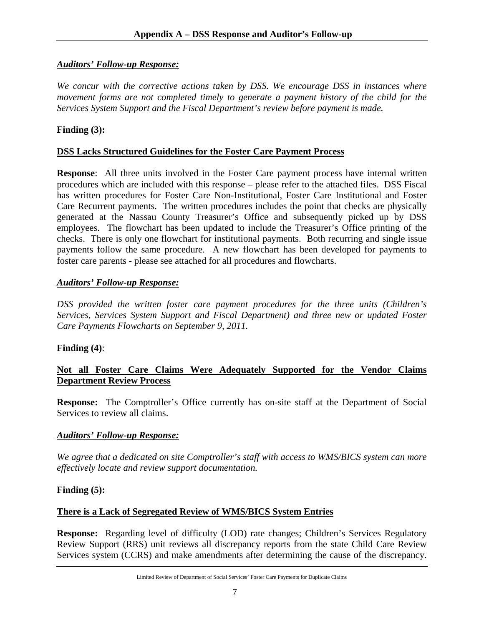## *Auditors' Follow-up Response:*

*We concur with the corrective actions taken by DSS. We encourage DSS in instances where movement forms are not completed timely to generate a payment history of the child for the Services System Support and the Fiscal Department's review before payment is made.* 

## **Finding (3):**

### **DSS Lacks Structured Guidelines for the Foster Care Payment Process**

**Response**: All three units involved in the Foster Care payment process have internal written procedures which are included with this response – please refer to the attached files. DSS Fiscal has written procedures for Foster Care Non-Institutional, Foster Care Institutional and Foster Care Recurrent payments. The written procedures includes the point that checks are physically generated at the Nassau County Treasurer's Office and subsequently picked up by DSS employees. The flowchart has been updated to include the Treasurer's Office printing of the checks. There is only one flowchart for institutional payments. Both recurring and single issue payments follow the same procedure. A new flowchart has been developed for payments to foster care parents - please see attached for all procedures and flowcharts.

#### *Auditors' Follow-up Response:*

*DSS provided the written foster care payment procedures for the three units (Children's Services, Services System Support and Fiscal Department) and three new or updated Foster Care Payments Flowcharts on September 9, 2011.* 

#### **Finding (4)**:

## **Not all Foster Care Claims Were Adequately Supported for the Vendor Claims Department Review Process**

**Response:** The Comptroller's Office currently has on-site staff at the Department of Social Services to review all claims.

#### *Auditors' Follow-up Response:*

*We agree that a dedicated on site Comptroller's staff with access to WMS/BICS system can more effectively locate and review support documentation.* 

#### **Finding (5):**

## **There is a Lack of Segregated Review of WMS/BICS System Entries**

**Response:** Regarding level of difficulty (LOD) rate changes; Children's Services Regulatory Review Support (RRS) unit reviews all discrepancy reports from the state Child Care Review Services system (CCRS) and make amendments after determining the cause of the discrepancy.